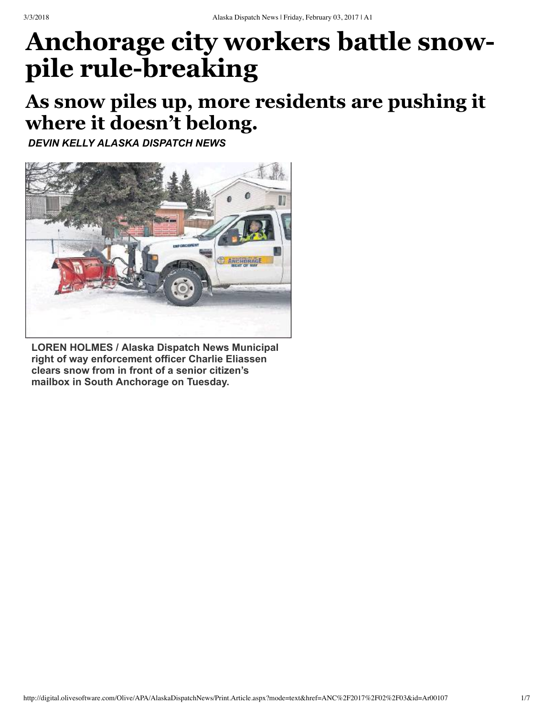## **Anchorage city workers battle snowpile rule-breaking**

## **As snow piles up, more residents are pushing it where it doesn't belong.**

*DEVIN KELLY ALASKA DISPATCH NEWS*



**LOREN HOLMES / Alaska Dispatch News Municipal right of way enforcement officer Charlie Eliassen clears snow from in front of a senior citizen's mailbox in South Anchorage on Tuesday.**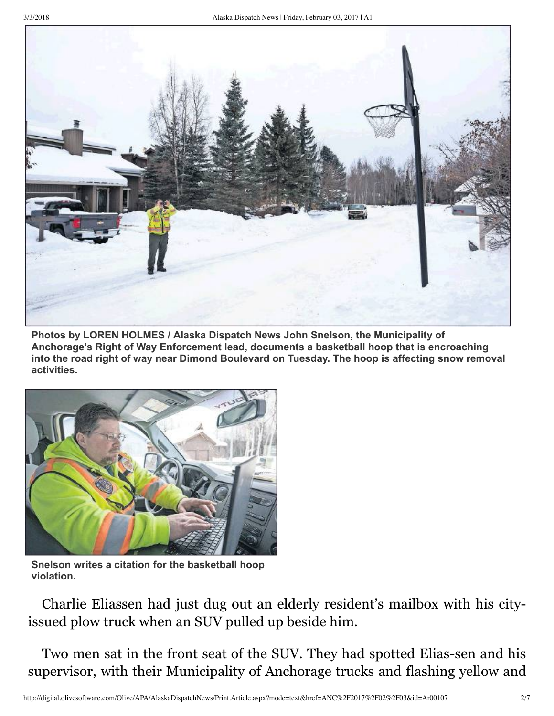

**Photos by LOREN HOLMES / Alaska Dispatch News John Snelson, the Municipality of Anchorage's Right of Way Enforcement lead, documents a basketball hoop that is encroaching into the road right of way near Dimond Boulevard on Tuesday. The hoop is affecting snow removal activities.**



**Snelson writes a citation for the basketball hoop violation.**

Charlie Eliassen had just dug out an elderly resident's mailbox with his cityissued plow truck when an SUV pulled up beside him.

Two men sat in the front seat of the SUV. They had spotted Elias-sen and his supervisor, with their Municipality of Anchorage trucks and flashing yellow and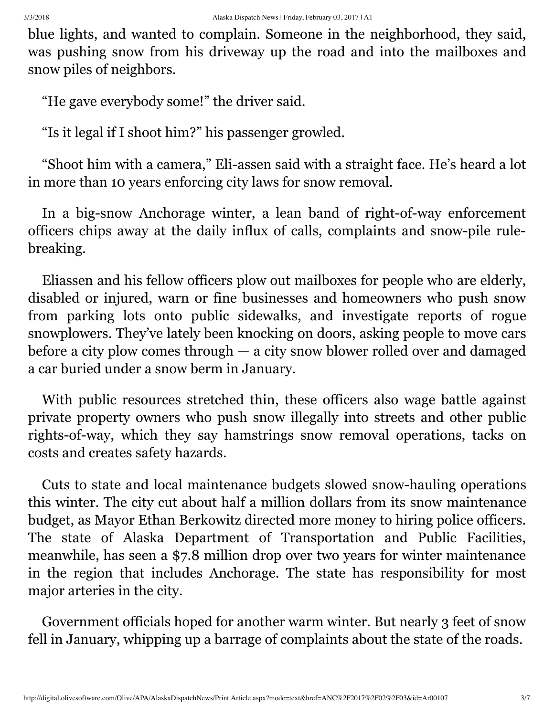blue lights, and wanted to complain. Someone in the neighborhood, they said, was pushing snow from his driveway up the road and into the mailboxes and snow piles of neighbors.

"He gave everybody some!" the driver said.

"Is it legal if I shoot him?" his passenger growled.

"Shoot him with a camera," Eli-assen said with a straight face. He's heard a lot in more than 10 years enforcing city laws for snow removal.

In a big-snow Anchorage winter, a lean band of right-of-way enforcement officers chips away at the daily influx of calls, complaints and snow-pile rulebreaking.

Eliassen and his fellow officers plow out mailboxes for people who are elderly, disabled or injured, warn or fine businesses and homeowners who push snow from parking lots onto public sidewalks, and investigate reports of rogue snowplowers. They've lately been knocking on doors, asking people to move cars before a city plow comes through — a city snow blower rolled over and damaged a car buried under a snow berm in January.

With public resources stretched thin, these officers also wage battle against private property owners who push snow illegally into streets and other public rights-of-way, which they say hamstrings snow removal operations, tacks on costs and creates safety hazards.

Cuts to state and local maintenance budgets slowed snow-hauling operations this winter. The city cut about half a million dollars from its snow maintenance budget, as Mayor Ethan Berkowitz directed more money to hiring police officers. The state of Alaska Department of Transportation and Public Facilities, meanwhile, has seen a \$7.8 million drop over two years for winter maintenance in the region that includes Anchorage. The state has responsibility for most major arteries in the city.

Government officials hoped for another warm winter. But nearly 3 feet of snow fell in January, whipping up a barrage of complaints about the state of the roads.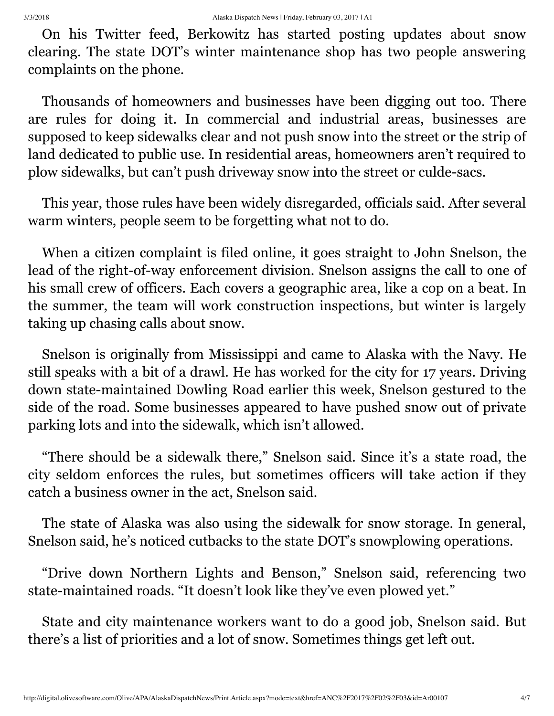On his Twitter feed, Berkowitz has started posting updates about snow clearing. The state DOT's winter maintenance shop has two people answering complaints on the phone.

Thousands of homeowners and businesses have been digging out too. There are rules for doing it. In commercial and industrial areas, businesses are supposed to keep sidewalks clear and not push snow into the street or the strip of land dedicated to public use. In residential areas, homeowners aren't required to plow sidewalks, but can't push driveway snow into the street or culde-sacs.

This year, those rules have been widely disregarded, officials said. After several warm winters, people seem to be forgetting what not to do.

When a citizen complaint is filed online, it goes straight to John Snelson, the lead of the right-of-way enforcement division. Snelson assigns the call to one of his small crew of officers. Each covers a geographic area, like a cop on a beat. In the summer, the team will work construction inspections, but winter is largely taking up chasing calls about snow.

Snelson is originally from Mississippi and came to Alaska with the Navy. He still speaks with a bit of a drawl. He has worked for the city for 17 years. Driving down state-maintained Dowling Road earlier this week, Snelson gestured to the side of the road. Some businesses appeared to have pushed snow out of private parking lots and into the sidewalk, which isn't allowed.

"There should be a sidewalk there," Snelson said. Since it's a state road, the city seldom enforces the rules, but sometimes officers will take action if they catch a business owner in the act, Snelson said.

The state of Alaska was also using the sidewalk for snow storage. In general, Snelson said, he's noticed cutbacks to the state DOT's snowplowing operations.

"Drive down Northern Lights and Benson," Snelson said, referencing two state-maintained roads. "It doesn't look like they've even plowed yet."

State and city maintenance workers want to do a good job, Snelson said. But there's a list of priorities and a lot of snow. Sometimes things get left out.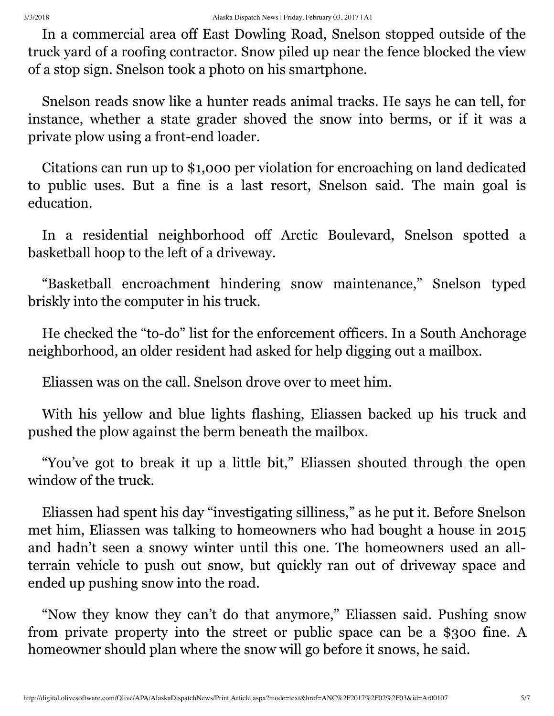In a commercial area off East Dowling Road, Snelson stopped outside of the truck yard of a roofing contractor. Snow piled up near the fence blocked the view of a stop sign. Snelson took a photo on his smartphone.

Snelson reads snow like a hunter reads animal tracks. He says he can tell, for instance, whether a state grader shoved the snow into berms, or if it was a private plow using a front-end loader.

Citations can run up to \$1,000 per violation for encroaching on land dedicated to public uses. But a fine is a last resort, Snelson said. The main goal is education.

In a residential neighborhood off Arctic Boulevard, Snelson spotted a basketball hoop to the left of a driveway.

"Basketball encroachment hindering snow maintenance," Snelson typed briskly into the computer in his truck.

He checked the "to-do" list for the enforcement officers. In a South Anchorage neighborhood, an older resident had asked for help digging out a mailbox.

Eliassen was on the call. Snelson drove over to meet him.

With his yellow and blue lights flashing, Eliassen backed up his truck and pushed the plow against the berm beneath the mailbox.

"You've got to break it up a little bit," Eliassen shouted through the open window of the truck.

Eliassen had spent his day "investigating silliness," as he put it. Before Snelson met him, Eliassen was talking to homeowners who had bought a house in 2015 and hadn't seen a snowy winter until this one. The homeowners used an allterrain vehicle to push out snow, but quickly ran out of driveway space and ended up pushing snow into the road.

"Now they know they can't do that anymore," Eliassen said. Pushing snow from private property into the street or public space can be a \$300 fine. A homeowner should plan where the snow will go before it snows, he said.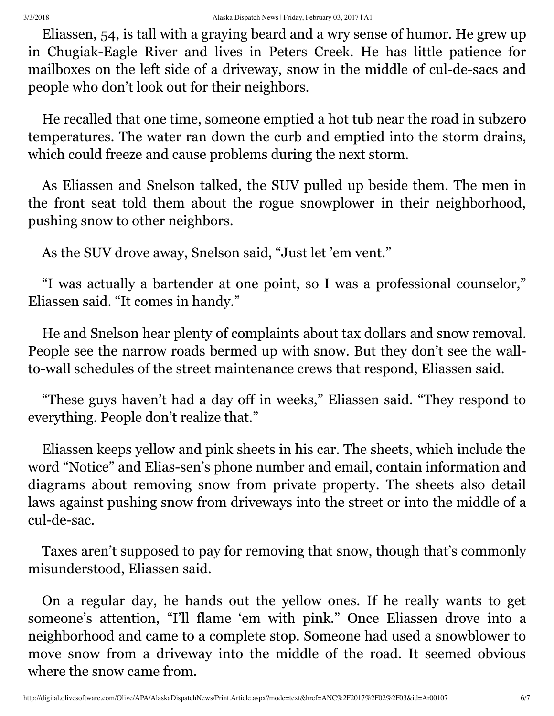Eliassen, 54, is tall with a graying beard and a wry sense of humor. He grew up in Chugiak-Eagle River and lives in Peters Creek. He has little patience for mailboxes on the left side of a driveway, snow in the middle of cul-de-sacs and people who don't look out for their neighbors.

He recalled that one time, someone emptied a hot tub near the road in subzero temperatures. The water ran down the curb and emptied into the storm drains, which could freeze and cause problems during the next storm.

As Eliassen and Snelson talked, the SUV pulled up beside them. The men in the front seat told them about the rogue snowplower in their neighborhood, pushing snow to other neighbors.

As the SUV drove away, Snelson said, "Just let 'em vent."

"I was actually a bartender at one point, so I was a professional counselor," Eliassen said. "It comes in handy."

He and Snelson hear plenty of complaints about tax dollars and snow removal. People see the narrow roads bermed up with snow. But they don't see the wallto-wall schedules of the street maintenance crews that respond, Eliassen said.

"These guys haven't had a day off in weeks," Eliassen said. "They respond to everything. People don't realize that."

Eliassen keeps yellow and pink sheets in his car. The sheets, which include the word "Notice" and Elias-sen's phone number and email, contain information and diagrams about removing snow from private property. The sheets also detail laws against pushing snow from driveways into the street or into the middle of a cul-de-sac.

Taxes aren't supposed to pay for removing that snow, though that's commonly misunderstood, Eliassen said.

On a regular day, he hands out the yellow ones. If he really wants to get someone's attention, "I'll flame 'em with pink." Once Eliassen drove into a neighborhood and came to a complete stop. Someone had used a snowblower to move snow from a driveway into the middle of the road. It seemed obvious where the snow came from.